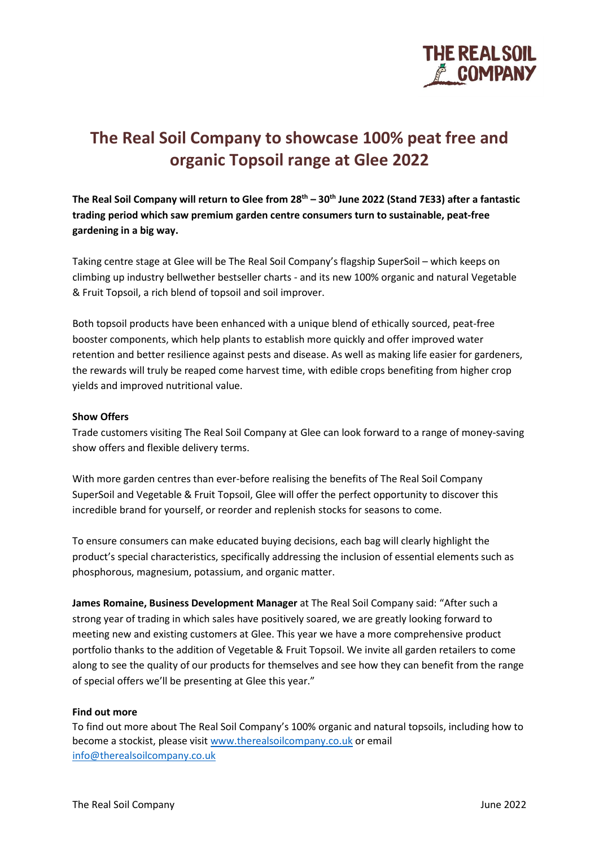

# **The Real Soil Company to showcase 100% peat free and organic Topsoil range at Glee 2022**

**The Real Soil Company will return to Glee from 28th – 30th June 2022 (Stand 7E33) after a fantastic trading period which saw premium garden centre consumers turn to sustainable, peat-free gardening in a big way.**

Taking centre stage at Glee will be The Real Soil Company's flagship SuperSoil – which keeps on climbing up industry bellwether bestseller charts - and its new 100% organic and natural Vegetable & Fruit Topsoil, a rich blend of topsoil and soil improver.

Both topsoil products have been enhanced with a unique blend of ethically sourced, peat-free booster components, which help plants to establish more quickly and offer improved water retention and better resilience against pests and disease. As well as making life easier for gardeners, the rewards will truly be reaped come harvest time, with edible crops benefiting from higher crop yields and improved nutritional value.

## **Show Offers**

Trade customers visiting The Real Soil Company at Glee can look forward to a range of money-saving show offers and flexible delivery terms.

With more garden centres than ever-before realising the benefits of The Real Soil Company SuperSoil and Vegetable & Fruit Topsoil, Glee will offer the perfect opportunity to discover this incredible brand for yourself, or reorder and replenish stocks for seasons to come.

To ensure consumers can make educated buying decisions, each bag will clearly highlight the product's special characteristics, specifically addressing the inclusion of essential elements such as phosphorous, magnesium, potassium, and organic matter.

**James Romaine, Business Development Manager** at The Real Soil Company said: "After such a strong year of trading in which sales have positively soared, we are greatly looking forward to meeting new and existing customers at Glee. This year we have a more comprehensive product portfolio thanks to the addition of Vegetable & Fruit Topsoil. We invite all garden retailers to come along to see the quality of our products for themselves and see how they can benefit from the range of special offers we'll be presenting at Glee this year."

## **Find out more**

To find out more about The Real Soil Company's 100% organic and natural topsoils, including how to become a stockist, please visit [www.therealsoilcompany.co.uk](http://www.therealsoilcompany.co.uk/) or email [info@therealsoilcompany.co.uk](mailto:info@therealsoilcompany.co.uk)